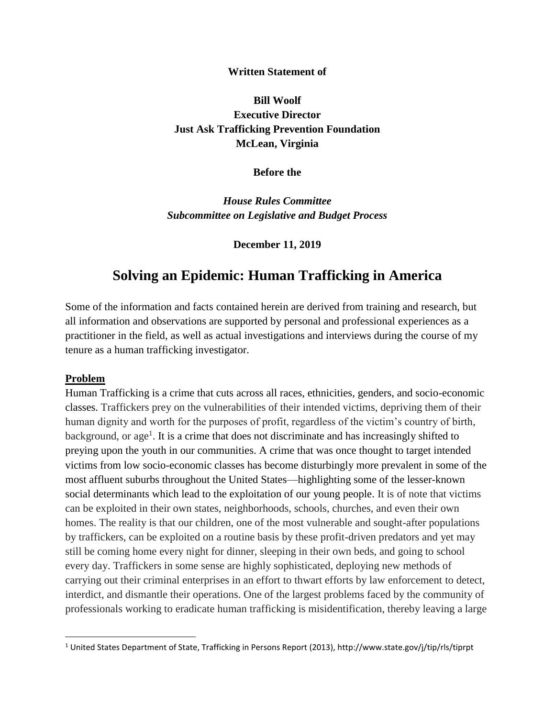#### **Written Statement of**

## **Bill Woolf Executive Director Just Ask Trafficking Prevention Foundation McLean, Virginia**

**Before the**

*House Rules Committee Subcommittee on Legislative and Budget Process*

**December 11, 2019**

# **Solving an Epidemic: Human Trafficking in America**

Some of the information and facts contained herein are derived from training and research, but all information and observations are supported by personal and professional experiences as a practitioner in the field, as well as actual investigations and interviews during the course of my tenure as a human trafficking investigator.

#### **Problem**

 $\overline{\phantom{a}}$ 

Human Trafficking is a crime that cuts across all races, ethnicities, genders, and socio-economic classes. Traffickers prey on the vulnerabilities of their intended victims, depriving them of their human dignity and worth for the purposes of profit, regardless of the victim's country of birth, background, or age<sup>1</sup>. It is a crime that does not discriminate and has increasingly shifted to preying upon the youth in our communities. A crime that was once thought to target intended victims from low socio-economic classes has become disturbingly more prevalent in some of the most affluent suburbs throughout the United States—highlighting some of the lesser-known social determinants which lead to the exploitation of our young people. It is of note that victims can be exploited in their own states, neighborhoods, schools, churches, and even their own homes. The reality is that our children, one of the most vulnerable and sought-after populations by traffickers, can be exploited on a routine basis by these profit-driven predators and yet may still be coming home every night for dinner, sleeping in their own beds, and going to school every day. Traffickers in some sense are highly sophisticated, deploying new methods of carrying out their criminal enterprises in an effort to thwart efforts by law enforcement to detect, interdict, and dismantle their operations. One of the largest problems faced by the community of professionals working to eradicate human trafficking is misidentification, thereby leaving a large

<sup>1</sup> United States Department of State, Trafficking in Persons Report (2013), http://www.state.gov/j/tip/rls/tiprpt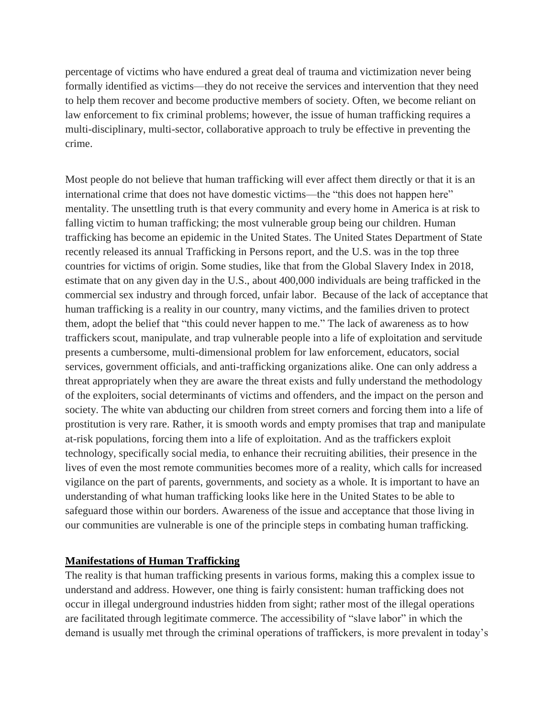percentage of victims who have endured a great deal of trauma and victimization never being formally identified as victims—they do not receive the services and intervention that they need to help them recover and become productive members of society. Often, we become reliant on law enforcement to fix criminal problems; however, the issue of human trafficking requires a multi-disciplinary, multi-sector, collaborative approach to truly be effective in preventing the crime.

Most people do not believe that human trafficking will ever affect them directly or that it is an international crime that does not have domestic victims—the "this does not happen here" mentality. The unsettling truth is that every community and every home in America is at risk to falling victim to human trafficking; the most vulnerable group being our children. Human trafficking has become an epidemic in the United States. The United States Department of State recently released its annual Trafficking in Persons report, and the U.S. was in the top three countries for victims of origin. Some studies, like that from the Global Slavery Index in 2018, estimate that on any given day in the U.S., about 400,000 individuals are being trafficked in the commercial sex industry and through forced, unfair labor. Because of the lack of acceptance that human trafficking is a reality in our country, many victims, and the families driven to protect them, adopt the belief that "this could never happen to me." The lack of awareness as to how traffickers scout, manipulate, and trap vulnerable people into a life of exploitation and servitude presents a cumbersome, multi-dimensional problem for law enforcement, educators, social services, government officials, and anti-trafficking organizations alike. One can only address a threat appropriately when they are aware the threat exists and fully understand the methodology of the exploiters, social determinants of victims and offenders, and the impact on the person and society. The white van abducting our children from street corners and forcing them into a life of prostitution is very rare. Rather, it is smooth words and empty promises that trap and manipulate at-risk populations, forcing them into a life of exploitation. And as the traffickers exploit technology, specifically social media, to enhance their recruiting abilities, their presence in the lives of even the most remote communities becomes more of a reality, which calls for increased vigilance on the part of parents, governments, and society as a whole. It is important to have an understanding of what human trafficking looks like here in the United States to be able to safeguard those within our borders. Awareness of the issue and acceptance that those living in our communities are vulnerable is one of the principle steps in combating human trafficking.

#### **Manifestations of Human Trafficking**

The reality is that human trafficking presents in various forms, making this a complex issue to understand and address. However, one thing is fairly consistent: human trafficking does not occur in illegal underground industries hidden from sight; rather most of the illegal operations are facilitated through legitimate commerce. The accessibility of "slave labor" in which the demand is usually met through the criminal operations of traffickers, is more prevalent in today's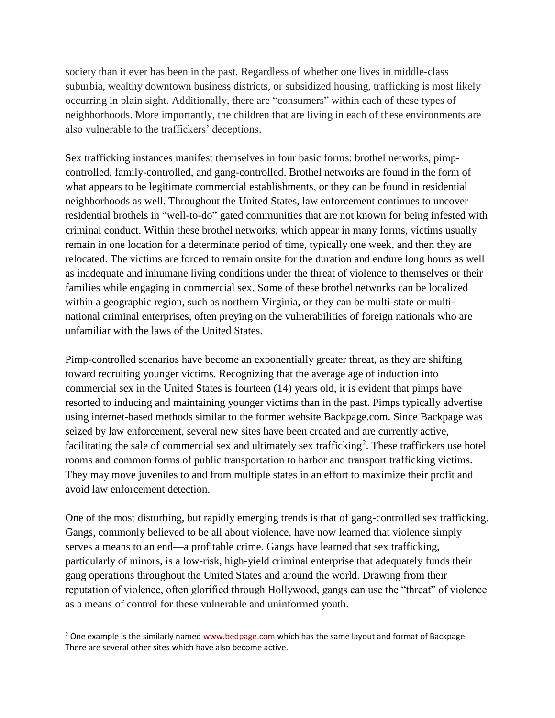society than it ever has been in the past. Regardless of whether one lives in middle-class suburbia, wealthy downtown business districts, or subsidized housing, trafficking is most likely occurring in plain sight. Additionally, there are "consumers" within each of these types of neighborhoods. More importantly, the children that are living in each of these environments are also vulnerable to the traffickers' deceptions.

Sex trafficking instances manifest themselves in four basic forms: brothel networks, pimpcontrolled, family-controlled, and gang-controlled. Brothel networks are found in the form of what appears to be legitimate commercial establishments, or they can be found in residential neighborhoods as well. Throughout the United States, law enforcement continues to uncover residential brothels in "well-to-do" gated communities that are not known for being infested with criminal conduct. Within these brothel networks, which appear in many forms, victims usually remain in one location for a determinate period of time, typically one week, and then they are relocated. The victims are forced to remain onsite for the duration and endure long hours as well as inadequate and inhumane living conditions under the threat of violence to themselves or their families while engaging in commercial sex. Some of these brothel networks can be localized within a geographic region, such as northern Virginia, or they can be multi-state or multinational criminal enterprises, often preying on the vulnerabilities of foreign nationals who are unfamiliar with the laws of the United States.

Pimp-controlled scenarios have become an exponentially greater threat, as they are shifting toward recruiting younger victims. Recognizing that the average age of induction into commercial sex in the United States is fourteen (14) years old, it is evident that pimps have resorted to inducing and maintaining younger victims than in the past. Pimps typically advertise using internet-based methods similar to the former website Backpage.com. Since Backpage was seized by law enforcement, several new sites have been created and are currently active, facilitating the sale of commercial sex and ultimately sex trafficking<sup>2</sup>. These traffickers use hotel rooms and common forms of public transportation to harbor and transport trafficking victims. They may move juveniles to and from multiple states in an effort to maximize their profit and avoid law enforcement detection.

One of the most disturbing, but rapidly emerging trends is that of gang-controlled sex trafficking. Gangs, commonly believed to be all about violence, have now learned that violence simply serves a means to an end—a profitable crime. Gangs have learned that sex trafficking, particularly of minors, is a low-risk, high-yield criminal enterprise that adequately funds their gang operations throughout the United States and around the world. Drawing from their reputation of violence, often glorified through Hollywood, gangs can use the "threat" of violence as a means of control for these vulnerable and uninformed youth.

 $\overline{\phantom{a}}$ 

 $<sup>2</sup>$  One example is the similarly name[d www.bedpage.com](http://www.bedpage.com/) which has the same layout and format of Backpage.</sup> There are several other sites which have also become active.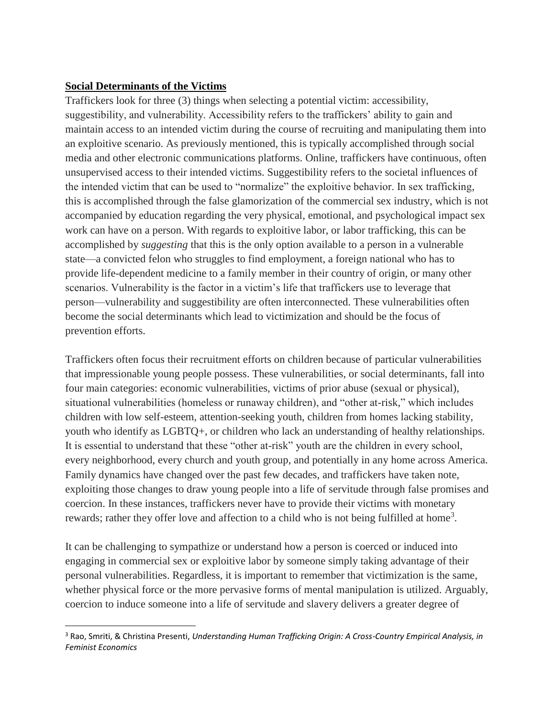## **Social Determinants of the Victims**

 $\overline{\phantom{a}}$ 

Traffickers look for three (3) things when selecting a potential victim: accessibility, suggestibility, and vulnerability. Accessibility refers to the traffickers' ability to gain and maintain access to an intended victim during the course of recruiting and manipulating them into an exploitive scenario. As previously mentioned, this is typically accomplished through social media and other electronic communications platforms. Online, traffickers have continuous, often unsupervised access to their intended victims. Suggestibility refers to the societal influences of the intended victim that can be used to "normalize" the exploitive behavior. In sex trafficking, this is accomplished through the false glamorization of the commercial sex industry, which is not accompanied by education regarding the very physical, emotional, and psychological impact sex work can have on a person. With regards to exploitive labor, or labor trafficking, this can be accomplished by *suggesting* that this is the only option available to a person in a vulnerable state—a convicted felon who struggles to find employment, a foreign national who has to provide life-dependent medicine to a family member in their country of origin, or many other scenarios. Vulnerability is the factor in a victim's life that traffickers use to leverage that person—vulnerability and suggestibility are often interconnected. These vulnerabilities often become the social determinants which lead to victimization and should be the focus of prevention efforts.

Traffickers often focus their recruitment efforts on children because of particular vulnerabilities that impressionable young people possess. These vulnerabilities, or social determinants, fall into four main categories: economic vulnerabilities, victims of prior abuse (sexual or physical), situational vulnerabilities (homeless or runaway children), and "other at-risk," which includes children with low self-esteem, attention-seeking youth, children from homes lacking stability, youth who identify as LGBTQ+, or children who lack an understanding of healthy relationships. It is essential to understand that these "other at-risk" youth are the children in every school, every neighborhood, every church and youth group, and potentially in any home across America. Family dynamics have changed over the past few decades, and traffickers have taken note, exploiting those changes to draw young people into a life of servitude through false promises and coercion. In these instances, traffickers never have to provide their victims with monetary rewards; rather they offer love and affection to a child who is not being fulfilled at home<sup>3</sup>.

It can be challenging to sympathize or understand how a person is coerced or induced into engaging in commercial sex or exploitive labor by someone simply taking advantage of their personal vulnerabilities. Regardless, it is important to remember that victimization is the same, whether physical force or the more pervasive forms of mental manipulation is utilized. Arguably, coercion to induce someone into a life of servitude and slavery delivers a greater degree of

<sup>3</sup> Rao, Smriti, & Christina Presenti, *Understanding Human Trafficking Origin: A Cross-Country Empirical Analysis, in Feminist Economics*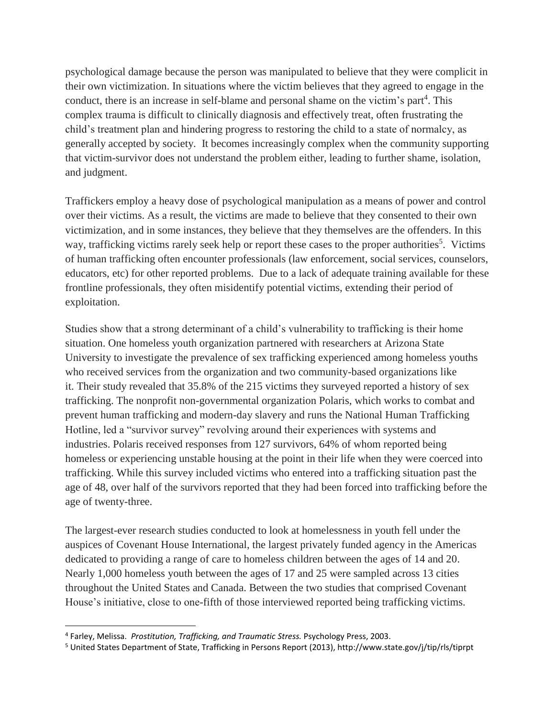psychological damage because the person was manipulated to believe that they were complicit in their own victimization. In situations where the victim believes that they agreed to engage in the conduct, there is an increase in self-blame and personal shame on the victim's part $4$ . This complex trauma is difficult to clinically diagnosis and effectively treat, often frustrating the child's treatment plan and hindering progress to restoring the child to a state of normalcy, as generally accepted by society. It becomes increasingly complex when the community supporting that victim-survivor does not understand the problem either, leading to further shame, isolation, and judgment.

Traffickers employ a heavy dose of psychological manipulation as a means of power and control over their victims. As a result, the victims are made to believe that they consented to their own victimization, and in some instances, they believe that they themselves are the offenders. In this way, trafficking victims rarely seek help or report these cases to the proper authorities<sup>5</sup>. Victims of human trafficking often encounter professionals (law enforcement, social services, counselors, educators, etc) for other reported problems. Due to a lack of adequate training available for these frontline professionals, they often misidentify potential victims, extending their period of exploitation.

Studies show that a strong determinant of a child's vulnerability to trafficking is their home situation. One homeless youth organization partnered with researchers at Arizona State University to investigate the prevalence of sex trafficking experienced among homeless youths who received services from the organization and two community-based organizations like it. Their study revealed that 35.8% of the 215 victims they surveyed reported a history of sex trafficking. The nonprofit non-governmental organization Polaris, which works to combat and prevent human trafficking and modern-day slavery and runs the National Human Trafficking Hotline, led a "survivor survey" revolving around their experiences with systems and industries. Polaris received responses from 127 survivors, 64% of whom reported being homeless or experiencing unstable housing at the point in their life when they were coerced into trafficking. While this survey included victims who entered into a trafficking situation past the age of 48, over half of the survivors reported that they had been forced into trafficking before the age of twenty-three.

The largest-ever research studies conducted to look at homelessness in youth fell under the auspices of Covenant House International, the largest privately funded agency in the Americas dedicated to providing a range of care to homeless children between the ages of 14 and 20. Nearly 1,000 homeless youth between the ages of 17 and 25 were sampled across 13 cities throughout the United States and Canada. Between the two studies that comprised Covenant House's initiative, close to one-fifth of those interviewed reported being trafficking victims.

 $\overline{\phantom{a}}$ 

<sup>4</sup> Farley, Melissa. *Prostitution, Trafficking, and Traumatic Stress.* Psychology Press, 2003.

<sup>5</sup> United States Department of State, Trafficking in Persons Report (2013), http://www.state.gov/j/tip/rls/tiprpt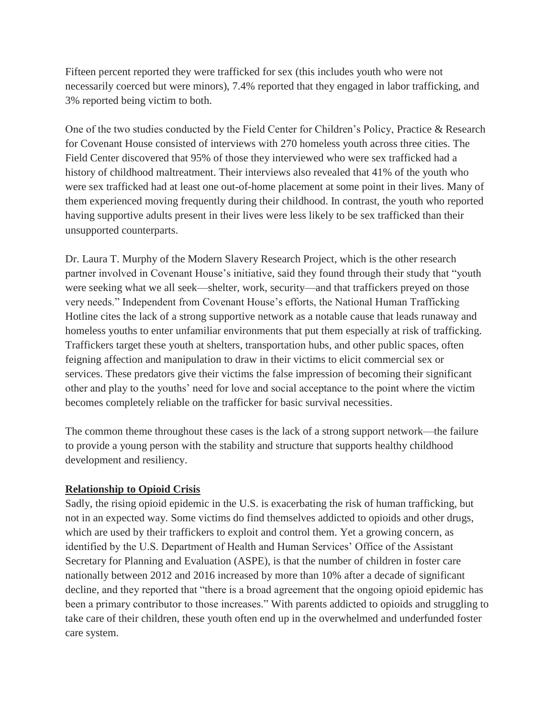Fifteen percent reported they were trafficked for sex (this includes youth who were not necessarily coerced but were minors), 7.4% reported that they engaged in labor trafficking, and 3% reported being victim to both.

One of the two studies conducted by the Field Center for Children's Policy, Practice & Research for Covenant House consisted of interviews with 270 homeless youth across three cities. The Field Center discovered that 95% of those they interviewed who were sex trafficked had a history of childhood maltreatment. Their interviews also revealed that 41% of the youth who were sex trafficked had at least one out-of-home placement at some point in their lives. Many of them experienced moving frequently during their childhood. In contrast, the youth who reported having supportive adults present in their lives were less likely to be sex trafficked than their unsupported counterparts.

Dr. Laura T. Murphy of the Modern Slavery Research Project, which is the other research partner involved in Covenant House's initiative, said they found through their study that "youth were seeking what we all seek—shelter, work, security—and that traffickers preyed on those very needs." Independent from Covenant House's efforts, the National Human Trafficking Hotline cites the lack of a strong supportive network as a notable cause that leads runaway and homeless youths to enter unfamiliar environments that put them especially at risk of trafficking. Traffickers target these youth at shelters, transportation hubs, and other public spaces, often feigning affection and manipulation to draw in their victims to elicit commercial sex or services. These predators give their victims the false impression of becoming their significant other and play to the youths' need for love and social acceptance to the point where the victim becomes completely reliable on the trafficker for basic survival necessities.

The common theme throughout these cases is the lack of a strong support network—the failure to provide a young person with the stability and structure that supports healthy childhood development and resiliency.

## **Relationship to Opioid Crisis**

Sadly, the rising opioid epidemic in the U.S. is exacerbating the risk of human trafficking, but not in an expected way. Some victims do find themselves addicted to opioids and other drugs, which are used by their traffickers to exploit and control them. Yet a growing concern, as identified by the U.S. Department of Health and Human Services' Office of the Assistant Secretary for Planning and Evaluation (ASPE), is that the number of children in foster care nationally between 2012 and 2016 increased by more than 10% after a decade of significant decline, and they reported that "there is a broad agreement that the ongoing opioid epidemic has been a primary contributor to those increases." With parents addicted to opioids and struggling to take care of their children, these youth often end up in the overwhelmed and underfunded foster care system.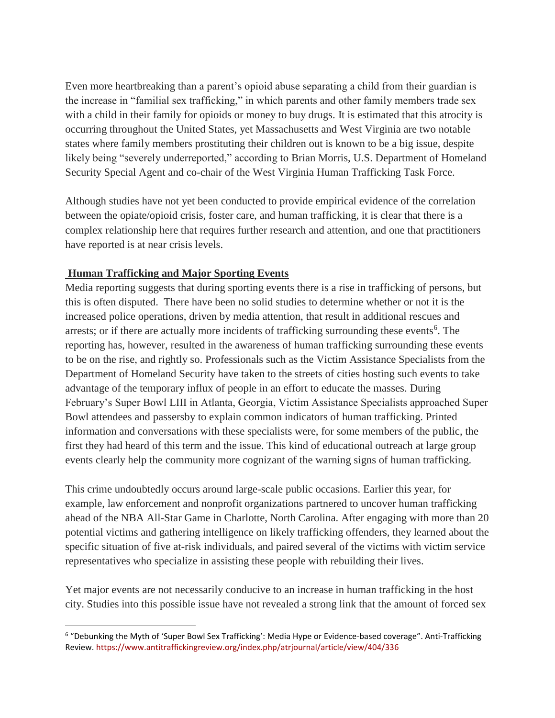Even more heartbreaking than a parent's opioid abuse separating a child from their guardian is the increase in "familial sex trafficking," in which parents and other family members trade sex with a child in their family for opioids or money to buy drugs. It is estimated that this atrocity is occurring throughout the United States, yet Massachusetts and West Virginia are two notable states where family members prostituting their children out is known to be a big issue, despite likely being "severely underreported," according to Brian Morris, U.S. Department of Homeland Security Special Agent and co-chair of the West Virginia Human Trafficking Task Force.

Although studies have not yet been conducted to provide empirical evidence of the correlation between the opiate/opioid crisis, foster care, and human trafficking, it is clear that there is a complex relationship here that requires further research and attention, and one that practitioners have reported is at near crisis levels.

## **Human Trafficking and Major Sporting Events**

 $\overline{\phantom{a}}$ 

Media reporting suggests that during sporting events there is a rise in trafficking of persons, but this is often disputed. There have been no solid studies to determine whether or not it is the increased police operations, driven by media attention, that result in additional rescues and arrests; or if there are actually more incidents of trafficking surrounding these events<sup>6</sup>. The reporting has, however, resulted in the awareness of human trafficking surrounding these events to be on the rise, and rightly so. Professionals such as the Victim Assistance Specialists from the Department of Homeland Security have taken to the streets of cities hosting such events to take advantage of the temporary influx of people in an effort to educate the masses. During February's Super Bowl LIII in Atlanta, Georgia, Victim Assistance Specialists approached Super Bowl attendees and passersby to explain common indicators of human trafficking. Printed information and conversations with these specialists were, for some members of the public, the first they had heard of this term and the issue. This kind of educational outreach at large group events clearly help the community more cognizant of the warning signs of human trafficking.

This crime undoubtedly occurs around large-scale public occasions. Earlier this year, for example, law enforcement and nonprofit organizations partnered to uncover human trafficking ahead of the NBA All-Star Game in Charlotte, North Carolina. After engaging with more than 20 potential victims and gathering intelligence on likely trafficking offenders, they learned about the specific situation of five at-risk individuals, and paired several of the victims with victim service representatives who specialize in assisting these people with rebuilding their lives.

Yet major events are not necessarily conducive to an increase in human trafficking in the host city. Studies into this possible issue have not revealed a strong link that the amount of forced sex

<sup>6</sup> "Debunking the Myth of 'Super Bowl Sex Trafficking': Media Hype or Evidence-based coverage". Anti-Trafficking Review.<https://www.antitraffickingreview.org/index.php/atrjournal/article/view/404/336>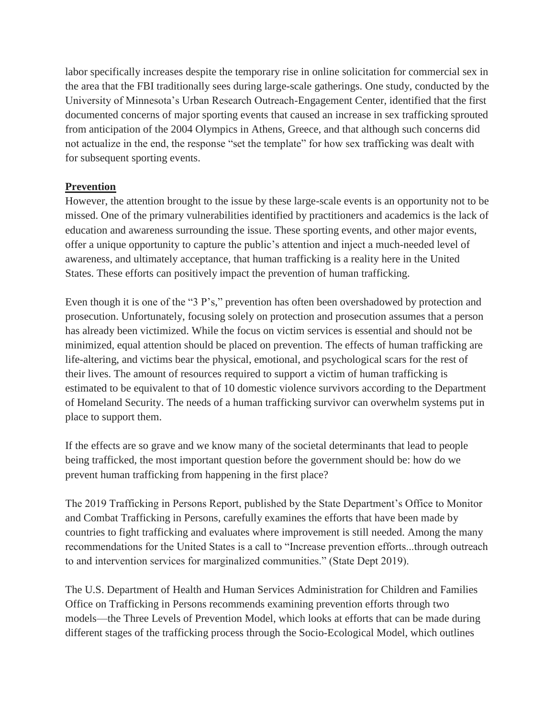labor specifically increases despite the temporary rise in online solicitation for commercial sex in the area that the FBI traditionally sees during large-scale gatherings. One study, conducted by the University of Minnesota's Urban Research Outreach-Engagement Center, identified that the first documented concerns of major sporting events that caused an increase in sex trafficking sprouted from anticipation of the 2004 Olympics in Athens, Greece, and that although such concerns did not actualize in the end, the response "set the template" for how sex trafficking was dealt with for subsequent sporting events.

## **Prevention**

However, the attention brought to the issue by these large-scale events is an opportunity not to be missed. One of the primary vulnerabilities identified by practitioners and academics is the lack of education and awareness surrounding the issue. These sporting events, and other major events, offer a unique opportunity to capture the public's attention and inject a much-needed level of awareness, and ultimately acceptance, that human trafficking is a reality here in the United States. These efforts can positively impact the prevention of human trafficking.

Even though it is one of the "3 P's," prevention has often been overshadowed by protection and prosecution. Unfortunately, focusing solely on protection and prosecution assumes that a person has already been victimized. While the focus on victim services is essential and should not be minimized, equal attention should be placed on prevention. The effects of human trafficking are life-altering, and victims bear the physical, emotional, and psychological scars for the rest of their lives. The amount of resources required to support a victim of human trafficking is estimated to be equivalent to that of 10 domestic violence survivors according to the Department of Homeland Security. The needs of a human trafficking survivor can overwhelm systems put in place to support them.

If the effects are so grave and we know many of the societal determinants that lead to people being trafficked, the most important question before the government should be: how do we prevent human trafficking from happening in the first place?

The 2019 Trafficking in Persons Report, published by the State Department's Office to Monitor and Combat Trafficking in Persons, carefully examines the efforts that have been made by countries to fight trafficking and evaluates where improvement is still needed. Among the many recommendations for the United States is a call to "Increase prevention efforts...through outreach to and intervention services for marginalized communities." (State Dept 2019).

The U.S. Department of Health and Human Services Administration for Children and Families Office on Trafficking in Persons recommends examining prevention efforts through two models—the Three Levels of Prevention Model, which looks at efforts that can be made during different stages of the trafficking process through the Socio-Ecological Model, which outlines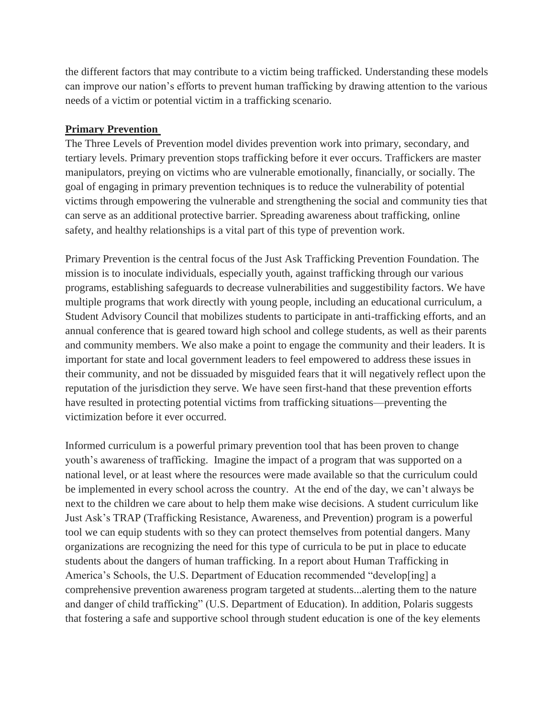the different factors that may contribute to a victim being trafficked. Understanding these models can improve our nation's efforts to prevent human trafficking by drawing attention to the various needs of a victim or potential victim in a trafficking scenario.

## **Primary Prevention**

The Three Levels of Prevention model divides prevention work into primary, secondary, and tertiary levels. Primary prevention stops trafficking before it ever occurs. Traffickers are master manipulators, preying on victims who are vulnerable emotionally, financially, or socially. The goal of engaging in primary prevention techniques is to reduce the vulnerability of potential victims through empowering the vulnerable and strengthening the social and community ties that can serve as an additional protective barrier. Spreading awareness about trafficking, online safety, and healthy relationships is a vital part of this type of prevention work.

Primary Prevention is the central focus of the Just Ask Trafficking Prevention Foundation. The mission is to inoculate individuals, especially youth, against trafficking through our various programs, establishing safeguards to decrease vulnerabilities and suggestibility factors. We have multiple programs that work directly with young people, including an educational curriculum, a Student Advisory Council that mobilizes students to participate in anti-trafficking efforts, and an annual conference that is geared toward high school and college students, as well as their parents and community members. We also make a point to engage the community and their leaders. It is important for state and local government leaders to feel empowered to address these issues in their community, and not be dissuaded by misguided fears that it will negatively reflect upon the reputation of the jurisdiction they serve. We have seen first-hand that these prevention efforts have resulted in protecting potential victims from trafficking situations—preventing the victimization before it ever occurred.

Informed curriculum is a powerful primary prevention tool that has been proven to change youth's awareness of trafficking. Imagine the impact of a program that was supported on a national level, or at least where the resources were made available so that the curriculum could be implemented in every school across the country. At the end of the day, we can't always be next to the children we care about to help them make wise decisions. A student curriculum like Just Ask's TRAP (Trafficking Resistance, Awareness, and Prevention) program is a powerful tool we can equip students with so they can protect themselves from potential dangers. Many organizations are recognizing the need for this type of curricula to be put in place to educate students about the dangers of human trafficking. In a report about Human Trafficking in America's Schools, the U.S. Department of Education recommended "develop[ing] a comprehensive prevention awareness program targeted at students...alerting them to the nature and danger of child trafficking" (U.S. Department of Education). In addition, Polaris suggests that fostering a safe and supportive school through student education is one of the key elements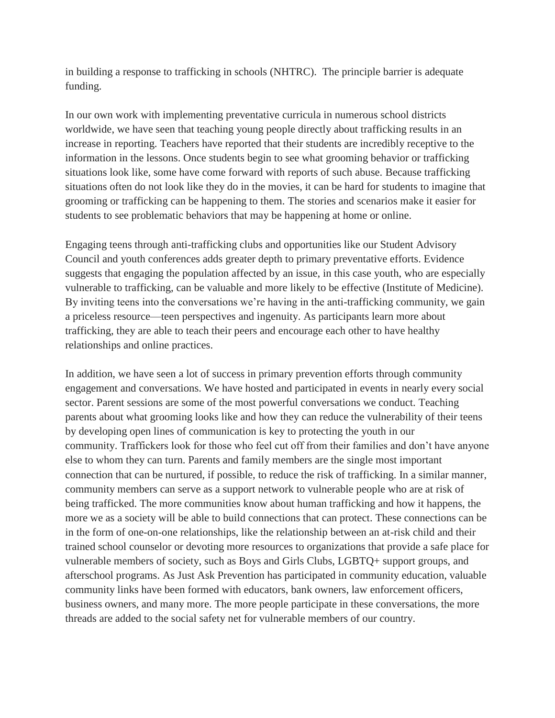in building a response to trafficking in schools (NHTRC). The principle barrier is adequate funding.

In our own work with implementing preventative curricula in numerous school districts worldwide, we have seen that teaching young people directly about trafficking results in an increase in reporting. Teachers have reported that their students are incredibly receptive to the information in the lessons. Once students begin to see what grooming behavior or trafficking situations look like, some have come forward with reports of such abuse. Because trafficking situations often do not look like they do in the movies, it can be hard for students to imagine that grooming or trafficking can be happening to them. The stories and scenarios make it easier for students to see problematic behaviors that may be happening at home or online.

Engaging teens through anti-trafficking clubs and opportunities like our Student Advisory Council and youth conferences adds greater depth to primary preventative efforts. Evidence suggests that engaging the population affected by an issue, in this case youth, who are especially vulnerable to trafficking, can be valuable and more likely to be effective (Institute of Medicine). By inviting teens into the conversations we're having in the anti-trafficking community, we gain a priceless resource—teen perspectives and ingenuity. As participants learn more about trafficking, they are able to teach their peers and encourage each other to have healthy relationships and online practices.

In addition, we have seen a lot of success in primary prevention efforts through community engagement and conversations. We have hosted and participated in events in nearly every social sector. Parent sessions are some of the most powerful conversations we conduct. Teaching parents about what grooming looks like and how they can reduce the vulnerability of their teens by developing open lines of communication is key to protecting the youth in our community. Traffickers look for those who feel cut off from their families and don't have anyone else to whom they can turn. Parents and family members are the single most important connection that can be nurtured, if possible, to reduce the risk of trafficking. In a similar manner, community members can serve as a support network to vulnerable people who are at risk of being trafficked. The more communities know about human trafficking and how it happens, the more we as a society will be able to build connections that can protect. These connections can be in the form of one-on-one relationships, like the relationship between an at-risk child and their trained school counselor or devoting more resources to organizations that provide a safe place for vulnerable members of society, such as Boys and Girls Clubs, LGBTQ+ support groups, and afterschool programs. As Just Ask Prevention has participated in community education, valuable community links have been formed with educators, bank owners, law enforcement officers, business owners, and many more. The more people participate in these conversations, the more threads are added to the social safety net for vulnerable members of our country.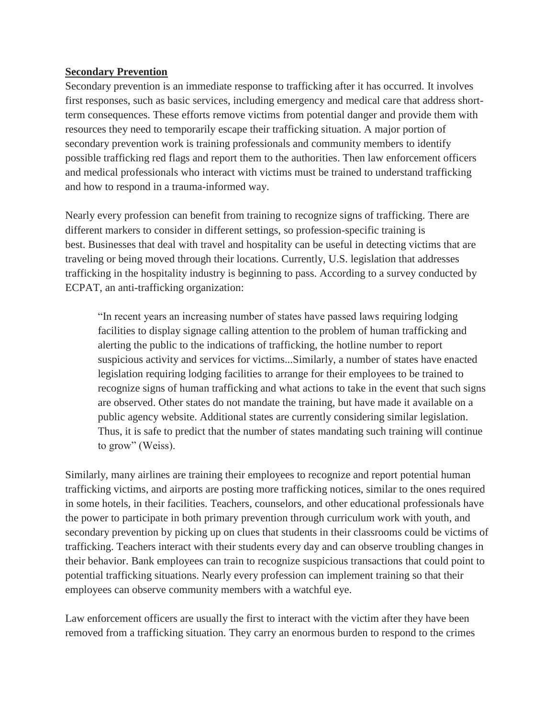#### **Secondary Prevention**

Secondary prevention is an immediate response to trafficking after it has occurred. It involves first responses, such as basic services, including emergency and medical care that address shortterm consequences. These efforts remove victims from potential danger and provide them with resources they need to temporarily escape their trafficking situation. A major portion of secondary prevention work is training professionals and community members to identify possible trafficking red flags and report them to the authorities. Then law enforcement officers and medical professionals who interact with victims must be trained to understand trafficking and how to respond in a trauma-informed way.

Nearly every profession can benefit from training to recognize signs of trafficking. There are different markers to consider in different settings, so profession-specific training is best. Businesses that deal with travel and hospitality can be useful in detecting victims that are traveling or being moved through their locations. Currently, U.S. legislation that addresses trafficking in the hospitality industry is beginning to pass. According to a survey conducted by ECPAT, an anti-trafficking organization:

"In recent years an increasing number of states have passed laws requiring lodging facilities to display signage calling attention to the problem of human trafficking and alerting the public to the indications of trafficking, the hotline number to report suspicious activity and services for victims...Similarly, a number of states have enacted legislation requiring lodging facilities to arrange for their employees to be trained to recognize signs of human trafficking and what actions to take in the event that such signs are observed. Other states do not mandate the training, but have made it available on a public agency website. Additional states are currently considering similar legislation. Thus, it is safe to predict that the number of states mandating such training will continue to grow" (Weiss).

Similarly, many airlines are training their employees to recognize and report potential human trafficking victims, and airports are posting more trafficking notices, similar to the ones required in some hotels, in their facilities. Teachers, counselors, and other educational professionals have the power to participate in both primary prevention through curriculum work with youth, and secondary prevention by picking up on clues that students in their classrooms could be victims of trafficking. Teachers interact with their students every day and can observe troubling changes in their behavior. Bank employees can train to recognize suspicious transactions that could point to potential trafficking situations. Nearly every profession can implement training so that their employees can observe community members with a watchful eye.

Law enforcement officers are usually the first to interact with the victim after they have been removed from a trafficking situation. They carry an enormous burden to respond to the crimes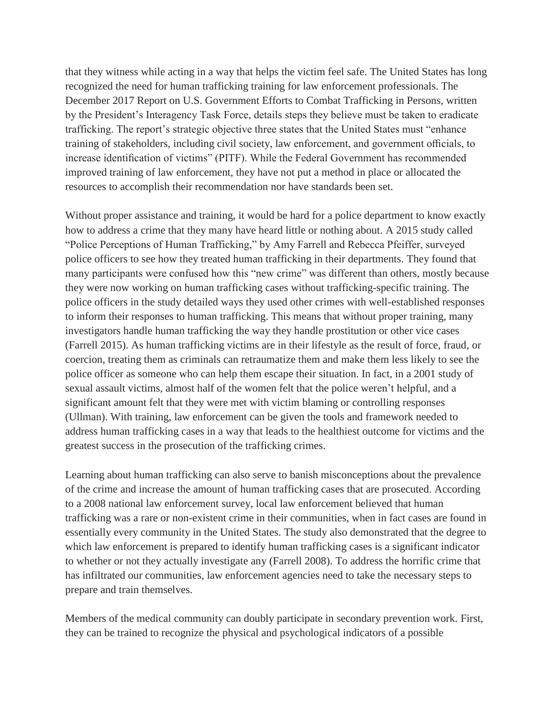that they witness while acting in a way that helps the victim feel safe. The United States has long recognized the need for human trafficking training for law enforcement professionals. The December 2017 Report on U.S. Government Efforts to Combat Trafficking in Persons, written by the President's Interagency Task Force, details steps they believe must be taken to eradicate trafficking. The report's strategic objective three states that the United States must "enhance training of stakeholders, including civil society, law enforcement, and government officials, to increase identification of victims" (PITF). While the Federal Government has recommended improved training of law enforcement, they have not put a method in place or allocated the resources to accomplish their recommendation nor have standards been set.

Without proper assistance and training, it would be hard for a police department to know exactly how to address a crime that they many have heard little or nothing about. A 2015 study called "Police Perceptions of Human Trafficking," by Amy Farrell and Rebecca Pfeiffer, surveyed police officers to see how they treated human trafficking in their departments. They found that many participants were confused how this "new crime" was different than others, mostly because they were now working on human trafficking cases without trafficking-specific training. The police officers in the study detailed ways they used other crimes with well-established responses to inform their responses to human trafficking. This means that without proper training, many investigators handle human trafficking the way they handle prostitution or other vice cases (Farrell 2015). As human trafficking victims are in their lifestyle as the result of force, fraud, or coercion, treating them as criminals can retraumatize them and make them less likely to see the police officer as someone who can help them escape their situation. In fact, in a 2001 study of sexual assault victims, almost half of the women felt that the police weren't helpful, and a significant amount felt that they were met with victim blaming or controlling responses (Ullman). With training, law enforcement can be given the tools and framework needed to address human trafficking cases in a way that leads to the healthiest outcome for victims and the greatest success in the prosecution of the trafficking crimes.

Learning about human trafficking can also serve to banish misconceptions about the prevalence of the crime and increase the amount of human trafficking cases that are prosecuted. According to a 2008 national law enforcement survey, local law enforcement believed that human trafficking was a rare or non-existent crime in their communities, when in fact cases are found in essentially every community in the United States. The study also demonstrated that the degree to which law enforcement is prepared to identify human trafficking cases is a significant indicator to whether or not they actually investigate any (Farrell 2008). To address the horrific crime that has infiltrated our communities, law enforcement agencies need to take the necessary steps to prepare and train themselves.

Members of the medical community can doubly participate in secondary prevention work. First, they can be trained to recognize the physical and psychological indicators of a possible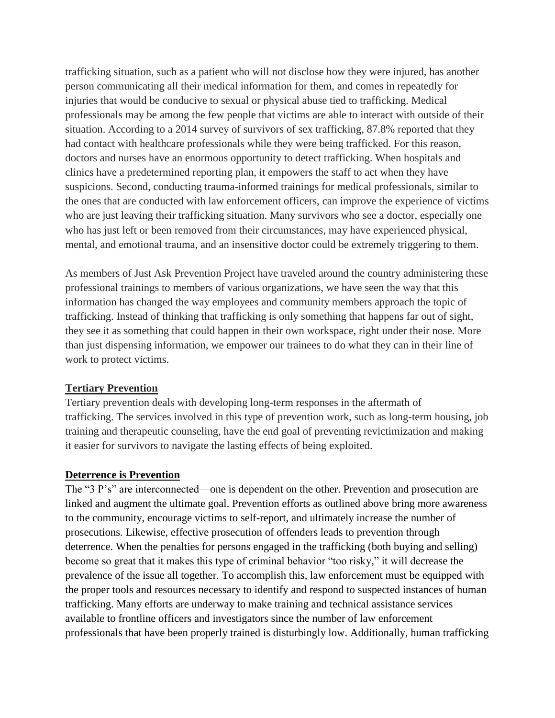trafficking situation, such as a patient who will not disclose how they were injured, has another person communicating all their medical information for them, and comes in repeatedly for injuries that would be conducive to sexual or physical abuse tied to trafficking. Medical professionals may be among the few people that victims are able to interact with outside of their situation. According to a 2014 survey of survivors of sex trafficking, 87.8% reported that they had contact with healthcare professionals while they were being trafficked. For this reason, doctors and nurses have an enormous opportunity to detect trafficking. When hospitals and clinics have a predetermined reporting plan, it empowers the staff to act when they have suspicions. Second, conducting trauma-informed trainings for medical professionals, similar to the ones that are conducted with law enforcement officers, can improve the experience of victims who are just leaving their trafficking situation. Many survivors who see a doctor, especially one who has just left or been removed from their circumstances, may have experienced physical, mental, and emotional trauma, and an insensitive doctor could be extremely triggering to them.

As members of Just Ask Prevention Project have traveled around the country administering these professional trainings to members of various organizations, we have seen the way that this information has changed the way employees and community members approach the topic of trafficking. Instead of thinking that trafficking is only something that happens far out of sight, they see it as something that could happen in their own workspace, right under their nose. More than just dispensing information, we empower our trainees to do what they can in their line of work to protect victims.

## **Tertiary Prevention**

Tertiary prevention deals with developing long-term responses in the aftermath of trafficking. The services involved in this type of prevention work, such as long-term housing, job training and therapeutic counseling, have the end goal of preventing revictimization and making it easier for survivors to navigate the lasting effects of being exploited.

## **Deterrence is Prevention**

The "3 P's" are interconnected—one is dependent on the other. Prevention and prosecution are linked and augment the ultimate goal. Prevention efforts as outlined above bring more awareness to the community, encourage victims to self-report, and ultimately increase the number of prosecutions. Likewise, effective prosecution of offenders leads to prevention through deterrence. When the penalties for persons engaged in the trafficking (both buying and selling) become so great that it makes this type of criminal behavior "too risky," it will decrease the prevalence of the issue all together. To accomplish this, law enforcement must be equipped with the proper tools and resources necessary to identify and respond to suspected instances of human trafficking. Many efforts are underway to make training and technical assistance services available to frontline officers and investigators since the number of law enforcement professionals that have been properly trained is disturbingly low. Additionally, human trafficking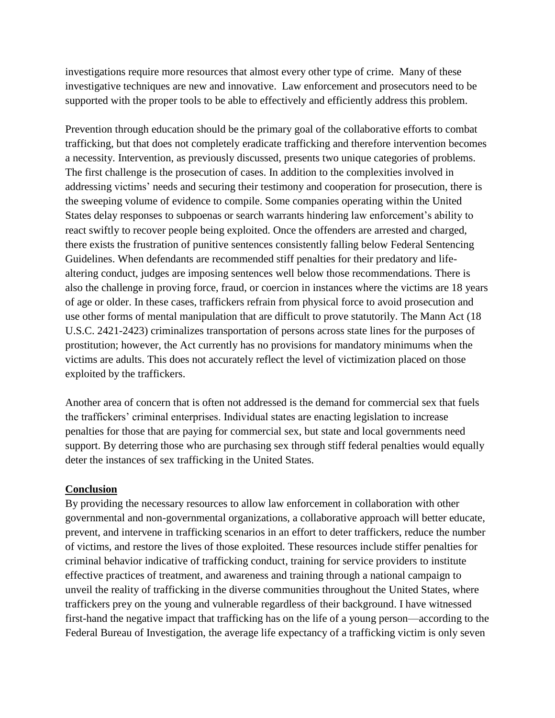investigations require more resources that almost every other type of crime. Many of these investigative techniques are new and innovative. Law enforcement and prosecutors need to be supported with the proper tools to be able to effectively and efficiently address this problem.

Prevention through education should be the primary goal of the collaborative efforts to combat trafficking, but that does not completely eradicate trafficking and therefore intervention becomes a necessity. Intervention, as previously discussed, presents two unique categories of problems. The first challenge is the prosecution of cases. In addition to the complexities involved in addressing victims' needs and securing their testimony and cooperation for prosecution, there is the sweeping volume of evidence to compile. Some companies operating within the United States delay responses to subpoenas or search warrants hindering law enforcement's ability to react swiftly to recover people being exploited. Once the offenders are arrested and charged, there exists the frustration of punitive sentences consistently falling below Federal Sentencing Guidelines. When defendants are recommended stiff penalties for their predatory and lifealtering conduct, judges are imposing sentences well below those recommendations. There is also the challenge in proving force, fraud, or coercion in instances where the victims are 18 years of age or older. In these cases, traffickers refrain from physical force to avoid prosecution and use other forms of mental manipulation that are difficult to prove statutorily. The Mann Act (18 U.S.C. 2421-2423) criminalizes transportation of persons across state lines for the purposes of prostitution; however, the Act currently has no provisions for mandatory minimums when the victims are adults. This does not accurately reflect the level of victimization placed on those exploited by the traffickers.

Another area of concern that is often not addressed is the demand for commercial sex that fuels the traffickers' criminal enterprises. Individual states are enacting legislation to increase penalties for those that are paying for commercial sex, but state and local governments need support. By deterring those who are purchasing sex through stiff federal penalties would equally deter the instances of sex trafficking in the United States.

#### **Conclusion**

By providing the necessary resources to allow law enforcement in collaboration with other governmental and non-governmental organizations, a collaborative approach will better educate, prevent, and intervene in trafficking scenarios in an effort to deter traffickers, reduce the number of victims, and restore the lives of those exploited. These resources include stiffer penalties for criminal behavior indicative of trafficking conduct, training for service providers to institute effective practices of treatment, and awareness and training through a national campaign to unveil the reality of trafficking in the diverse communities throughout the United States, where traffickers prey on the young and vulnerable regardless of their background. I have witnessed first-hand the negative impact that trafficking has on the life of a young person—according to the Federal Bureau of Investigation, the average life expectancy of a trafficking victim is only seven